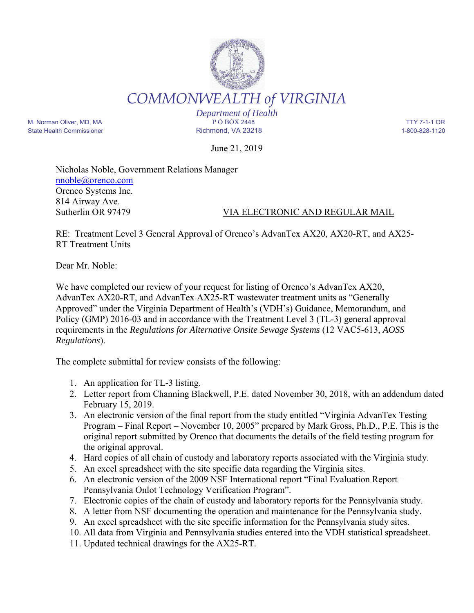

*Department of Health* M. Norman Oliver, MD, MA P O BOX 2448 TTY 7-1-1 OR State Health Commissioner and the Richmond, VA 23218 1-800-828-1120

June 21, 2019

Nicholas Noble, Government Relations Manager nnoble@orenco.com Orenco Systems Inc. 814 Airway Ave. Sutherlin OR 97479 VIA ELECTRONIC AND REGULAR MAIL

RE: Treatment Level 3 General Approval of Orenco's AdvanTex AX20, AX20-RT, and AX25- RT Treatment Units

Dear Mr. Noble:

We have completed our review of your request for listing of Orenco's AdvanTex AX20, AdvanTex AX20-RT, and AdvanTex AX25-RT wastewater treatment units as "Generally Approved" under the Virginia Department of Health's (VDH's) Guidance, Memorandum, and Policy (GMP) 2016-03 and in accordance with the Treatment Level 3 (TL-3) general approval requirements in the *Regulations for Alternative Onsite Sewage Systems* (12 VAC5-613, *AOSS Regulations*).

The complete submittal for review consists of the following:

- 1. An application for TL-3 listing.
- 2. Letter report from Channing Blackwell, P.E. dated November 30, 2018, with an addendum dated February 15, 2019.
- 3. An electronic version of the final report from the study entitled "Virginia AdvanTex Testing Program – Final Report – November 10, 2005" prepared by Mark Gross, Ph.D., P.E. This is the original report submitted by Orenco that documents the details of the field testing program for the original approval.
- 4. Hard copies of all chain of custody and laboratory reports associated with the Virginia study.
- 5. An excel spreadsheet with the site specific data regarding the Virginia sites.
- 6. An electronic version of the 2009 NSF International report "Final Evaluation Report Pennsylvania Onlot Technology Verification Program".
- 7. Electronic copies of the chain of custody and laboratory reports for the Pennsylvania study.
- 8. A letter from NSF documenting the operation and maintenance for the Pennsylvania study.
- 9. An excel spreadsheet with the site specific information for the Pennsylvania study sites.
- 10. All data from Virginia and Pennsylvania studies entered into the VDH statistical spreadsheet.
- 11. Updated technical drawings for the AX25-RT.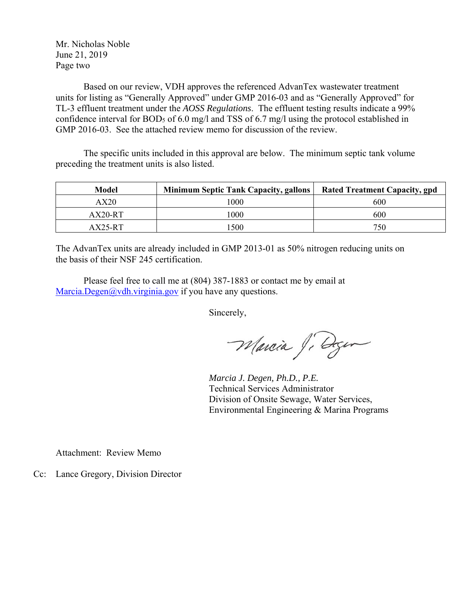Mr. Nicholas Noble June 21, 2019 Page two

Based on our review, VDH approves the referenced AdvanTex wastewater treatment units for listing as "Generally Approved" under GMP 2016-03 and as "Generally Approved" for TL-3 effluent treatment under the *AOSS Regulations*. The effluent testing results indicate a 99% confidence interval for BOD5 of 6.0 mg/l and TSS of 6.7 mg/l using the protocol established in GMP 2016-03. See the attached review memo for discussion of the review.

The specific units included in this approval are below. The minimum septic tank volume preceding the treatment units is also listed.

| Model       | <b>Minimum Septic Tank Capacity, gallons</b> | <b>Rated Treatment Capacity, gpd</b> |
|-------------|----------------------------------------------|--------------------------------------|
| $\rm{AX}20$ | l 000                                        | 600                                  |
| AX20-RT     | 1000                                         | 600                                  |
| $AX25-RT$   | 500                                          | 750                                  |

The AdvanTex units are already included in GMP 2013-01 as 50% nitrogen reducing units on the basis of their NSF 245 certification.

Please feel free to call me at (804) 387-1883 or contact me by email at Marcia.Degen@vdh.virginia.gov if you have any questions.

Sincerely,

Marcia Ji Degen

 *Marcia J. Degen, Ph.D., P.E.*  Technical Services Administrator Division of Onsite Sewage, Water Services, Environmental Engineering & Marina Programs

Attachment: Review Memo

Cc: Lance Gregory, Division Director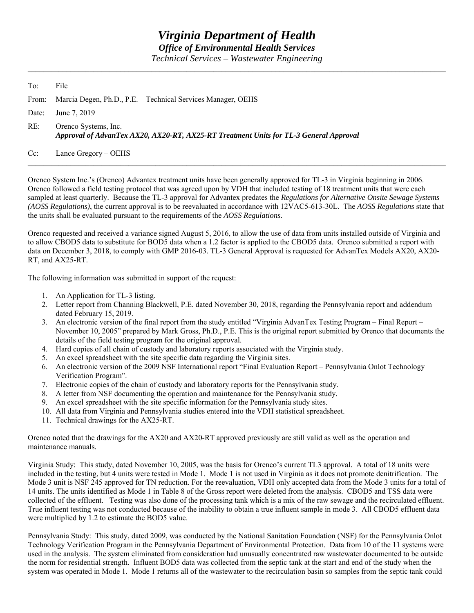## *Virginia Department of Health Office of Environmental Health Services*

*Technical Services – Wastewater Engineering* 

| To: | File                                                                                                          |
|-----|---------------------------------------------------------------------------------------------------------------|
|     | From: Marcia Degen, Ph.D., P.E. – Technical Services Manager, OEHS                                            |
|     | Date: June 7, 2019                                                                                            |
| RE: | Orenco Systems, Inc.<br>Approval of AdvanTex AX20, AX20-RT, AX25-RT Treatment Units for TL-3 General Approval |
|     | Cc: Lance Gregory – OEHS                                                                                      |

Orenco System Inc.'s (Orenco) Advantex treatment units have been generally approved for TL-3 in Virginia beginning in 2006. Orenco followed a field testing protocol that was agreed upon by VDH that included testing of 18 treatment units that were each sampled at least quarterly. Because the TL-3 approval for Advantex predates the *Regulations for Alternative Onsite Sewage Systems (AOSS Regulations)*, the current approval is to be reevaluated in accordance with 12VAC5-613-30L. The *AOSS Regulations* state that the units shall be evaluated pursuant to the requirements of the *AOSS Regulations.*

Orenco requested and received a variance signed August 5, 2016, to allow the use of data from units installed outside of Virginia and to allow CBOD5 data to substitute for BOD5 data when a 1.2 factor is applied to the CBOD5 data. Orenco submitted a report with data on December 3, 2018, to comply with GMP 2016-03. TL-3 General Approval is requested for AdvanTex Models AX20, AX20- RT, and AX25-RT.

The following information was submitted in support of the request:

- 1. An Application for TL-3 listing.
- 2. Letter report from Channing Blackwell, P.E. dated November 30, 2018, regarding the Pennsylvania report and addendum dated February 15, 2019.
- 3. An electronic version of the final report from the study entitled "Virginia AdvanTex Testing Program Final Report November 10, 2005" prepared by Mark Gross, Ph.D., P.E. This is the original report submitted by Orenco that documents the details of the field testing program for the original approval.
- 4. Hard copies of all chain of custody and laboratory reports associated with the Virginia study.
- 5. An excel spreadsheet with the site specific data regarding the Virginia sites.
- 6. An electronic version of the 2009 NSF International report "Final Evaluation Report Pennsylvania Onlot Technology Verification Program".
- 7. Electronic copies of the chain of custody and laboratory reports for the Pennsylvania study.
- 8. A letter from NSF documenting the operation and maintenance for the Pennsylvania study.
- 9. An excel spreadsheet with the site specific information for the Pennsylvania study sites.
- 10. All data from Virginia and Pennsylvania studies entered into the VDH statistical spreadsheet.
- 11. Technical drawings for the AX25-RT.

Orenco noted that the drawings for the AX20 and AX20-RT approved previously are still valid as well as the operation and maintenance manuals.

Virginia Study: This study, dated November 10, 2005, was the basis for Orenco's current TL3 approval. A total of 18 units were included in the testing, but 4 units were tested in Mode 1. Mode 1 is not used in Virginia as it does not promote denitrification. The Mode 3 unit is NSF 245 approved for TN reduction. For the reevaluation, VDH only accepted data from the Mode 3 units for a total of 14 units. The units identified as Mode 1 in Table 8 of the Gross report were deleted from the analysis. CBOD5 and TSS data were collected of the effluent. Testing was also done of the processing tank which is a mix of the raw sewage and the recirculated effluent. True influent testing was not conducted because of the inability to obtain a true influent sample in mode 3. All CBOD5 effluent data were multiplied by 1.2 to estimate the BOD5 value.

Pennsylvania Study: This study, dated 2009, was conducted by the National Sanitation Foundation (NSF) for the Pennsylvania Onlot Technology Verification Program in the Pennsylvania Department of Environmental Protection. Data from 10 of the 11 systems were used in the analysis. The system eliminated from consideration had unusually concentrated raw wastewater documented to be outside the norm for residential strength. Influent BOD5 data was collected from the septic tank at the start and end of the study when the system was operated in Mode 1. Mode 1 returns all of the wastewater to the recirculation basin so samples from the septic tank could